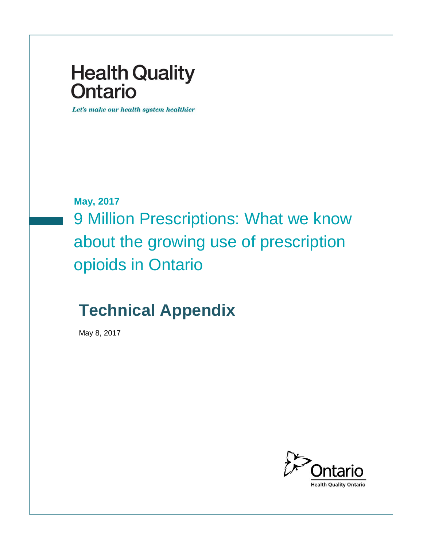# **Health Quality Ontario**

Let's make our health system healthier

**May, 2017**

9 Million Prescriptions: What we know about the growing use of prescription opioids in Ontario

# **Technical Appendix**

May 8, 2017

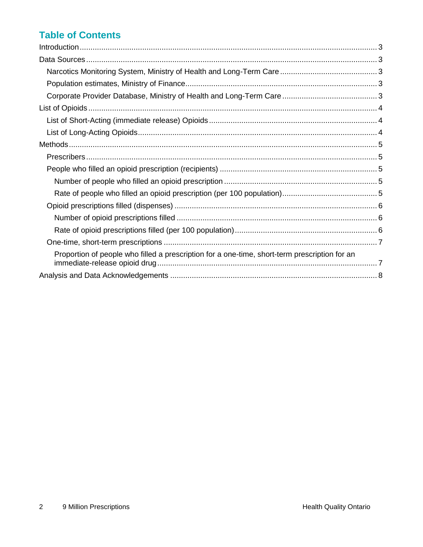# **Table of Contents**

| Proportion of people who filled a prescription for a one-time, short-term prescription for an |  |
|-----------------------------------------------------------------------------------------------|--|
|                                                                                               |  |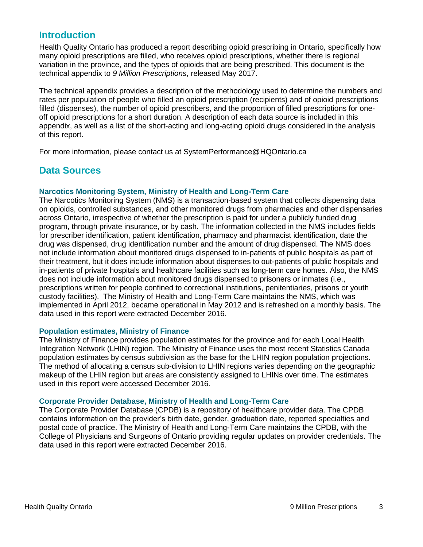### <span id="page-2-0"></span>**Introduction**

Health Quality Ontario has produced a report describing opioid prescribing in Ontario, specifically how many opioid prescriptions are filled, who receives opioid prescriptions, whether there is regional variation in the province, and the types of opioids that are being prescribed. This document is the technical appendix to *9 Million Prescriptions*, released May 2017.

The technical appendix provides a description of the methodology used to determine the numbers and rates per population of people who filled an opioid prescription (recipients) and of opioid prescriptions filled (dispenses), the number of opioid prescribers, and the proportion of filled prescriptions for oneoff opioid prescriptions for a short duration. A description of each data source is included in this appendix, as well as a list of the short-acting and long-acting opioid drugs considered in the analysis of this report.

For more information, please contact us at SystemPerformance@HQOntario.ca

# <span id="page-2-1"></span>**Data Sources**

#### <span id="page-2-2"></span>**Narcotics Monitoring System, Ministry of Health and Long-Term Care**

The Narcotics Monitoring System (NMS) is a transaction-based system that collects dispensing data on opioids, controlled substances, and other monitored drugs from pharmacies and other dispensaries across Ontario, irrespective of whether the prescription is paid for under a publicly funded drug program, through private insurance, or by cash. The information collected in the NMS includes fields for prescriber identification, patient identification, pharmacy and pharmacist identification, date the drug was dispensed, drug identification number and the amount of drug dispensed. The NMS does not include information about monitored drugs dispensed to in-patients of public hospitals as part of their treatment, but it does include information about dispenses to out-patients of public hospitals and in-patients of private hospitals and healthcare facilities such as long-term care homes. Also, the NMS does not include information about monitored drugs dispensed to prisoners or inmates (i.e., prescriptions written for people confined to correctional institutions, penitentiaries, prisons or youth custody facilities). The Ministry of Health and Long-Term Care maintains the NMS, which was implemented in April 2012, became operational in May 2012 and is refreshed on a monthly basis. The data used in this report were extracted December 2016.

#### <span id="page-2-3"></span>**Population estimates, Ministry of Finance**

The Ministry of Finance provides population estimates for the province and for each Local Health Integration Network (LHIN) region. The Ministry of Finance uses the most recent Statistics Canada population estimates by census subdivision as the base for the LHIN region population projections. The method of allocating a census sub-division to LHIN regions varies depending on the geographic makeup of the LHIN region but areas are consistently assigned to LHINs over time. The estimates used in this report were accessed December 2016.

#### <span id="page-2-4"></span>**Corporate Provider Database, Ministry of Health and Long-Term Care**

The Corporate Provider Database (CPDB) is a repository of healthcare provider data. The CPDB contains information on the provider's birth date, gender, graduation date, reported specialties and postal code of practice. The Ministry of Health and Long-Term Care maintains the CPDB, with the College of Physicians and Surgeons of Ontario providing regular updates on provider credentials. The data used in this report were extracted December 2016.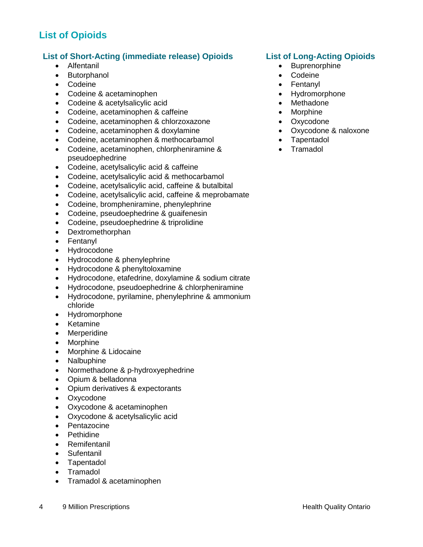# <span id="page-3-0"></span>**List of Opioids**

### <span id="page-3-1"></span>**List of Short-Acting (immediate release) Opioids List of Long-Acting Opioids**

- 
- Butorphanol **Contact Contact Contact Contact Contact Contact Contact Contact Contact Contact Contact Contact Contact Contact Contact Contact Contact Contact Contact Contact Contact Contact Contact Contact Contact Contact**
- Codeine **Fentanyl Fentanyl <b>•** Fentanyl **•** Fentanyl **•** Fentanyl
- Codeine & acetaminophen **According to the Codeine According to the Codeine** of Hydromorphone
- Codeine & acetylsalicylic acid Methadone
- Codeine, acetaminophen & caffeine  $\bullet$  Morphine
- Codeine, acetaminophen & chlorzoxazone Oxycodone
- Codeine, acetaminophen & doxylamine **Constant Constant Constant Constant Constant Constant Constant Constant Constant Constant Constant Constant Constant Constant Constant Constant Constant Constant Constant Constant Con**
- Codeine, acetaminophen & methocarbamol Tapentadol
- Codeine, acetaminophen, chlorpheniramine & pseudoephedrine
- Codeine, acetylsalicylic acid & caffeine
- Codeine, acetylsalicylic acid & methocarbamol
- Codeine, acetylsalicylic acid, caffeine & butalbital
- Codeine, acetylsalicylic acid, caffeine & meprobamate
- Codeine, brompheniramine, phenylephrine
- Codeine, pseudoephedrine & guaifenesin
- Codeine, pseudoephedrine & triprolidine
- Dextromethorphan
- Fentanyl
- Hydrocodone
- Hydrocodone & phenylephrine
- Hydrocodone & phenyltoloxamine
- Hydrocodone, etafedrine, doxylamine & sodium citrate
- Hydrocodone, pseudoephedrine & chlorpheniramine
- Hydrocodone, pyrilamine, phenylephrine & ammonium chloride
- Hydromorphone
- Ketamine
- Merperidine
- Morphine
- Morphine & Lidocaine
- Nalbuphine
- Normethadone & p-hydroxyephedrine
- Opium & belladonna
- Opium derivatives & expectorants
- Oxycodone
- Oxycodone & acetaminophen
- Oxycodone & acetylsalicylic acid
- Pentazocine
- Pethidine
- Remifentanil
- Sufentanil
- Tapentadol
- Tramadol
- Tramadol & acetaminophen

- <span id="page-3-2"></span>• Alfentanil **Bullet Alfentanil Bullet Alfentani Buprenorphine Buprenorphine** 
	-
	-
	-
	-
	-
	-
	-
	-
	- Tramadol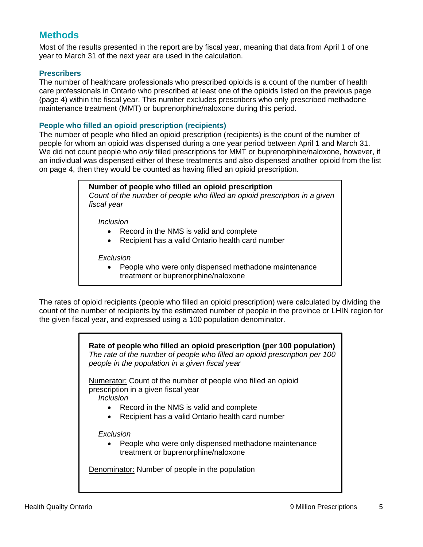# <span id="page-4-0"></span>**Methods**

Most of the results presented in the report are by fiscal year, meaning that data from April 1 of one year to March 31 of the next year are used in the calculation.

#### <span id="page-4-1"></span>**Prescribers**

The number of healthcare professionals who prescribed opioids is a count of the number of health care professionals in Ontario who prescribed at least one of the opioids listed on the previous page (page 4) within the fiscal year. This number excludes prescribers who only prescribed methadone maintenance treatment (MMT) or buprenorphine/naloxone during this period.

#### <span id="page-4-2"></span>**People who filled an opioid prescription (recipients)**

The number of people who filled an opioid prescription (recipients) is the count of the number of people for whom an opioid was dispensed during a one year period between April 1 and March 31. We did not count people who *only* filled prescriptions for MMT or buprenorphine/naloxone, however, if an individual was dispensed either of these treatments and also dispensed another opioid from the list on page 4, then they would be counted as having filled an opioid prescription.

#### <span id="page-4-3"></span>**Number of people who filled an opioid prescription**

*Count of the number of people who filled an opioid prescription in a given fiscal year*

*Inclusion*

- Record in the NMS is valid and complete
- Recipient has a valid Ontario health card number

*Exclusion*

 People who were only dispensed methadone maintenance treatment or buprenorphine/naloxone

<span id="page-4-4"></span>The rates of opioid recipients (people who filled an opioid prescription) were calculated by dividing the count of the number of recipients by the estimated number of people in the province or LHIN region for the given fiscal year, and expressed using a 100 population denominator.

> **Rate of people who filled an opioid prescription (per 100 population)** *The rate of the number of people who filled an opioid prescription per 100 people in the population in a given fiscal year*

Numerator: Count of the number of people who filled an opioid prescription in a given fiscal year

*Inclusion*

- Record in the NMS is valid and complete
- Recipient has a valid Ontario health card number

*Exclusion*

• People who were only dispensed methadone maintenance treatment or buprenorphine/naloxone

Denominator: Number of people in the population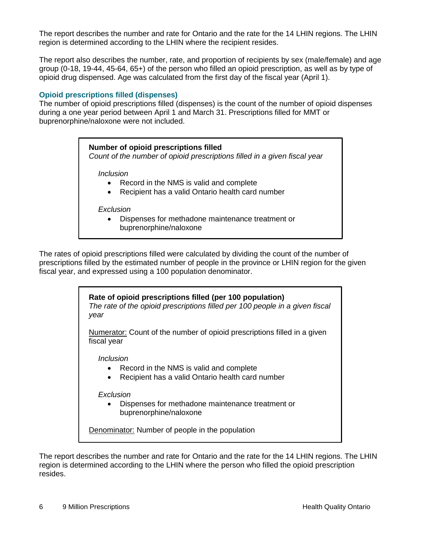The report describes the number and rate for Ontario and the rate for the 14 LHIN regions. The LHIN region is determined according to the LHIN where the recipient resides.

The report also describes the number, rate, and proportion of recipients by sex (male/female) and age group (0-18, 19-44, 45-64, 65+) of the person who filled an opioid prescription, as well as by type of opioid drug dispensed. Age was calculated from the first day of the fiscal year (April 1).

#### <span id="page-5-0"></span>**Opioid prescriptions filled (dispenses)**

<span id="page-5-1"></span>The number of opioid prescriptions filled (dispenses) is the count of the number of opioid dispenses during a one year period between April 1 and March 31. Prescriptions filled for MMT or buprenorphine/naloxone were not included.

#### **Number of opioid prescriptions filled**

*Count of the number of opioid prescriptions filled in a given fiscal year*

*Inclusion*

- Record in the NMS is valid and complete
- Recipient has a valid Ontario health card number

#### *Exclusion*

 Dispenses for methadone maintenance treatment or buprenorphine/naloxone

<span id="page-5-2"></span>The rates of opioid prescriptions filled were calculated by dividing the count of the number of prescriptions filled by the estimated number of people in the province or LHIN region for the given fiscal year, and expressed using a 100 population denominator.

#### **Rate of opioid prescriptions filled (per 100 population)**

*The rate of the opioid prescriptions filled per 100 people in a given fiscal year*

Numerator: Count of the number of opioid prescriptions filled in a given fiscal year

*Inclusion*

- Record in the NMS is valid and complete
- Recipient has a valid Ontario health card number

#### *Exclusion*

 Dispenses for methadone maintenance treatment or buprenorphine/naloxone

Denominator: Number of people in the population

The report describes the number and rate for Ontario and the rate for the 14 LHIN regions. The LHIN region is determined according to the LHIN where the person who filled the opioid prescription resides.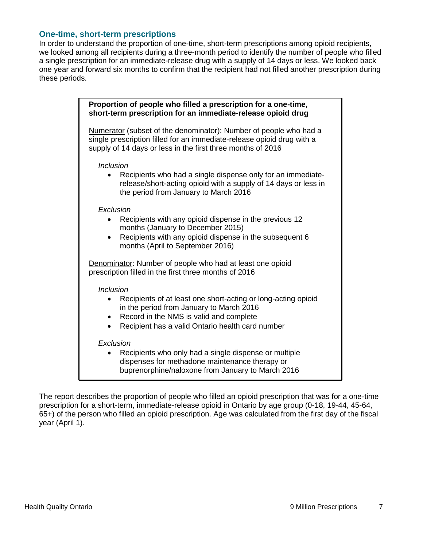#### <span id="page-6-0"></span>**One-time, short-term prescriptions**

In order to understand the proportion of one-time, short-term prescriptions among opioid recipients, we looked among all recipients during a three-month period to identify the number of people who filled a single prescription for an immediate-release drug with a supply of 14 days or less. We looked back one year and forward six months to confirm that the recipient had not filled another prescription during these periods.

<span id="page-6-1"></span>

| Proportion of people who filled a prescription for a one-time,<br>short-term prescription for an immediate-release opioid drug                                                                                                                 |
|------------------------------------------------------------------------------------------------------------------------------------------------------------------------------------------------------------------------------------------------|
| Numerator (subset of the denominator): Number of people who had a<br>single prescription filled for an immediate-release opioid drug with a<br>supply of 14 days or less in the first three months of 2016                                     |
| <b>Inclusion</b><br>Recipients who had a single dispense only for an immediate-<br>release/short-acting opioid with a supply of 14 days or less in<br>the period from January to March 2016                                                    |
| Exclusion<br>Recipients with any opioid dispense in the previous 12<br>months (January to December 2015)<br>Recipients with any opioid dispense in the subsequent 6<br>$\bullet$<br>months (April to September 2016)                           |
| Denominator: Number of people who had at least one opioid<br>prescription filled in the first three months of 2016                                                                                                                             |
| <b>Inclusion</b><br>Recipients of at least one short-acting or long-acting opioid<br>in the period from January to March 2016<br>Record in the NMS is valid and complete<br>٠<br>Recipient has a valid Ontario health card number<br>$\bullet$ |
| Exclusion<br>Recipients who only had a single dispense or multiple<br>dispenses for methadone maintenance therapy or<br>buprenorphine/naloxone from January to March 2016                                                                      |

The report describes the proportion of people who filled an opioid prescription that was for a one-time prescription for a short-term, immediate-release opioid in Ontario by age group (0-18, 19-44, 45-64, 65+) of the person who filled an opioid prescription. Age was calculated from the first day of the fiscal year (April 1).